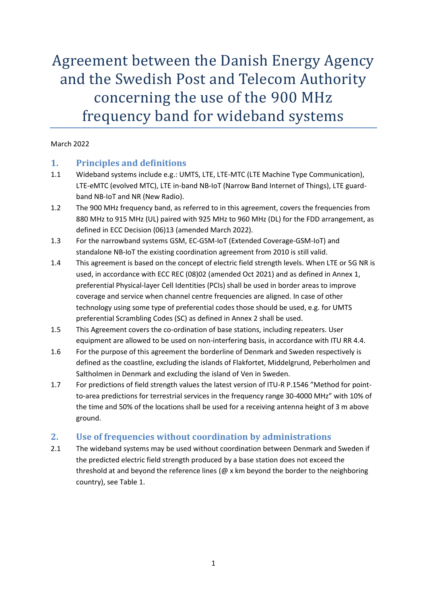Agreement between the Danish Energy Agency and the Swedish Post and Telecom Authority concerning the use of the 900 MHz frequency band for wideband systems

#### March 2022

### **1. Principles and definitions**

- 1.1 Wideband systems include e.g.: UMTS, LTE, LTE-MTC (LTE Machine Type Communication), LTE-eMTC (evolved MTC), LTE in-band NB-IoT (Narrow Band Internet of Things), LTE guardband NB-IoT and NR (New Radio).
- 1.2 The 900 MHz frequency band, as referred to in this agreement, covers the frequencies from 880 MHz to 915 MHz (UL) paired with 925 MHz to 960 MHz (DL) for the FDD arrangement, as defined in ECC Decision (06)13 (amended March 2022).
- 1.3 For the narrowband systems GSM, EC-GSM-IoT (Extended Coverage-GSM-IoT) and standalone NB-IoT the existing coordination agreement from 2010 is still valid.
- 1.4 This agreement is based on the concept of electric field strength levels. When LTE or 5G NR is used, in accordance with ECC REC (08)02 (amended Oct 2021) and as defined in Annex 1, preferential Physical-layer Cell Identities (PCIs) shall be used in border areas to improve coverage and service when channel centre frequencies are aligned. In case of other technology using some type of preferential codes those should be used, e.g. for UMTS preferential Scrambling Codes (SC) as defined in Annex 2 shall be used.
- 1.5 This Agreement covers the co-ordination of base stations, including repeaters. User equipment are allowed to be used on non-interfering basis, in accordance with ITU RR 4.4.
- 1.6 For the purpose of this agreement the borderline of Denmark and Sweden respectively is defined as the coastline, excluding the islands of Flakfortet, Middelgrund, Peberholmen and Saltholmen in Denmark and excluding the island of Ven in Sweden.
- 1.7 For predictions of field strength values the latest version of ITU-R P.1546 "Method for pointto-area predictions for terrestrial services in the frequency range 30-4000 MHz" with 10% of the time and 50% of the locations shall be used for a receiving antenna height of 3 m above ground.

### **2. Use of frequencies without coordination by administrations**

2.1 The wideband systems may be used without coordination between Denmark and Sweden if the predicted electric field strength produced by a base station does not exceed the threshold at and beyond the reference lines (@ x km beyond the border to the neighboring country), see [Table 1.](#page-1-0)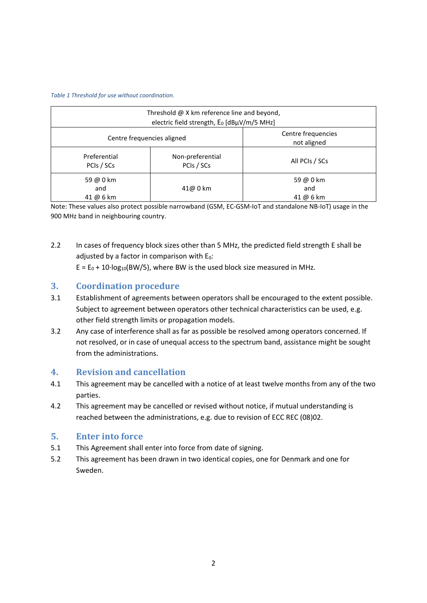<span id="page-1-0"></span>*Table 1 Threshold for use without coordination.*

| Threshold $\omega$ X km reference line and beyond,<br>electric field strength, E <sub>0</sub> [dBµV/m/5 MHz] |                                                                 |                               |  |  |  |
|--------------------------------------------------------------------------------------------------------------|-----------------------------------------------------------------|-------------------------------|--|--|--|
|                                                                                                              | Centre frequencies<br>Centre frequencies aligned<br>not aligned |                               |  |  |  |
| Preferential<br>PCIs / SCs                                                                                   | Non-preferential<br>PCIs / SCs                                  | All PCIs / SCs                |  |  |  |
| 59 @ 0 km<br>and<br>41 @ 6 km                                                                                | 41@ 0 km                                                        | 59 @ 0 km<br>and<br>41 @ 6 km |  |  |  |

Note: These values also protect possible narrowband (GSM, EC-GSM-IoT and standalone NB-IoT) usage in the 900 MHz band in neighbouring country.

2.2 In cases of frequency block sizes other than 5 MHz, the predicted field strength E shall be adjusted by a factor in comparison with  $E_0$ :

 $E = E_0 + 10 \cdot \log_{10}(BW/5)$ , where BW is the used block size measured in MHz.

### **3. Coordination procedure**

- 3.1 Establishment of agreements between operators shall be encouraged to the extent possible. Subject to agreement between operators other technical characteristics can be used, e.g. other field strength limits or propagation models.
- 3.2 Any case of interference shall as far as possible be resolved among operators concerned. If not resolved, or in case of unequal access to the spectrum band, assistance might be sought from the administrations.

### **4. Revision and cancellation**

- 4.1 This agreement may be cancelled with a notice of at least twelve months from any of the two parties.
- 4.2 This agreement may be cancelled or revised without notice, if mutual understanding is reached between the administrations, e.g. due to revision of ECC REC (08)02.

### **5. Enter into force**

- 5.1 This Agreement shall enter into force from date of signing.
- 5.2 This agreement has been drawn in two identical copies, one for Denmark and one for Sweden.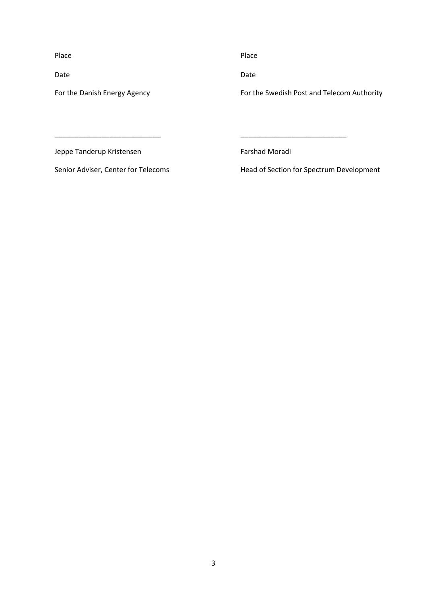Place **Place Place Place** 

For the Danish Energy Agency

Date **Date** Date **Date** Date **Date** 

For the Swedish Post and Telecom Authority

Jeppe Tanderup Kristensen

Farshad Moradi

Senior Adviser, Center for Telecoms

\_\_\_\_\_\_\_\_\_\_\_\_\_\_\_\_\_\_\_\_\_\_\_\_\_\_\_

Head of Section for Spectrum Development

\_\_\_\_\_\_\_\_\_\_\_\_\_\_\_\_\_\_\_\_\_\_\_\_\_\_\_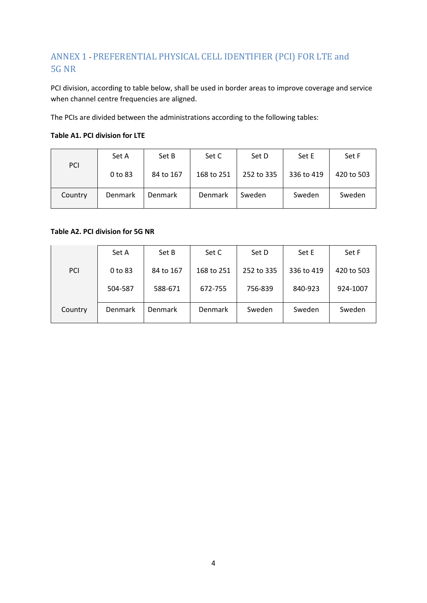# ANNEX 1 - PREFERENTIAL PHYSICAL CELL IDENTIFIER (PCI) FOR LTE and 5G NR

PCI division, according to table below, shall be used in border areas to improve coverage and service when channel centre frequencies are aligned.

The PCIs are divided between the administrations according to the following tables:

#### **Table A1. PCI division for LTE**

| PCI     | Set A          | Set B          | Set C          | Set D      | Set E      | Set F      |
|---------|----------------|----------------|----------------|------------|------------|------------|
|         | 0 to 83        | 84 to 167      | 168 to 251     | 252 to 335 | 336 to 419 | 420 to 503 |
| Country | <b>Denmark</b> | <b>Denmark</b> | <b>Denmark</b> | Sweden     | Sweden     | Sweden     |

**Table A2. PCI division for 5G NR**

|            | Set A                                      | Set B          | Set C      | Set D      | Set E      | Set F      |
|------------|--------------------------------------------|----------------|------------|------------|------------|------------|
| <b>PCI</b> | 0 to 83<br>84 to 167<br>504-587<br>588-671 |                | 168 to 251 | 252 to 335 | 336 to 419 | 420 to 503 |
|            |                                            |                | 672-755    | 756-839    | 840-923    | 924-1007   |
| Country    | Denmark                                    | <b>Denmark</b> | Denmark    | Sweden     | Sweden     | Sweden     |